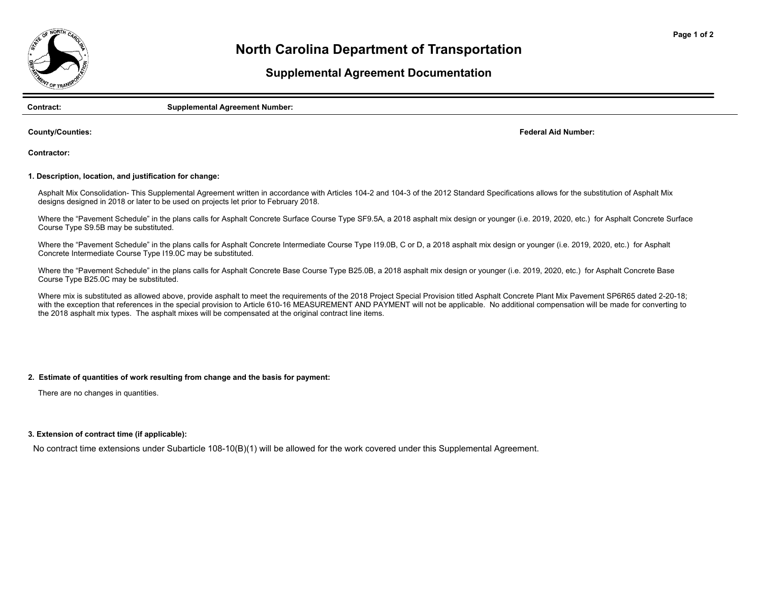

# **North Carolina Department of Transportation**

## **Supplemental Agreement Documentation**

**Contract: Supplemental Agreement Number:** 

**County/Counties:**

**Federal Aid Number:**

**Contractor:**

#### **1. Description, location, and justification for change:**

Asphalt Mix Consolidation- This Supplemental Agreement written in accordance with Articles 104-2 and 104-3 of the 2012 Standard Specifications allows for the substitution of Asphalt Mix designs designed in 2018 or later to be used on projects let prior to February 2018.

Where the "Pavement Schedule" in the plans calls for Asphalt Concrete Surface Course Type SF9.5A, a 2018 asphalt mix design or younger (i.e. 2019, 2020, etc.) for Asphalt Concrete Surface Course Type S9.5B may be substituted.

Where the "Pavement Schedule" in the plans calls for Asphalt Concrete Intermediate Course Type I19.0B, C or D, a 2018 asphalt mix design or younger (i.e. 2019, 2020, etc.) for Asphalt Concrete Intermediate Course Type I19.0C may be substituted.

Where the "Pavement Schedule" in the plans calls for Asphalt Concrete Base Course Type B25.0B, a 2018 asphalt mix design or younger (i.e. 2019, 2020, etc.) for Asphalt Concrete Base Course Type B25.0C may be substituted.

Where mix is substituted as allowed above, provide asphalt to meet the requirements of the 2018 Project Special Provision titled Asphalt Concrete Plant Mix Pavement SP6R65 dated 2-20-18; with the exception that references in the special provision to Article 610-16 MEASUREMENT AND PAYMENT will not be applicable. No additional compensation will be made for converting to the 2018 asphalt mix types. The asphalt mixes will be compensated at the original contract line items.

### **2. Estimate of quantities of work resulting from change and the basis for payment:**

There are no changes in quantities.

#### **3. Extension of contract time (if applicable):**

No contract time extensions under Subarticle 108-10(B)(1) will be allowed for the work covered under this Supplemental Agreement.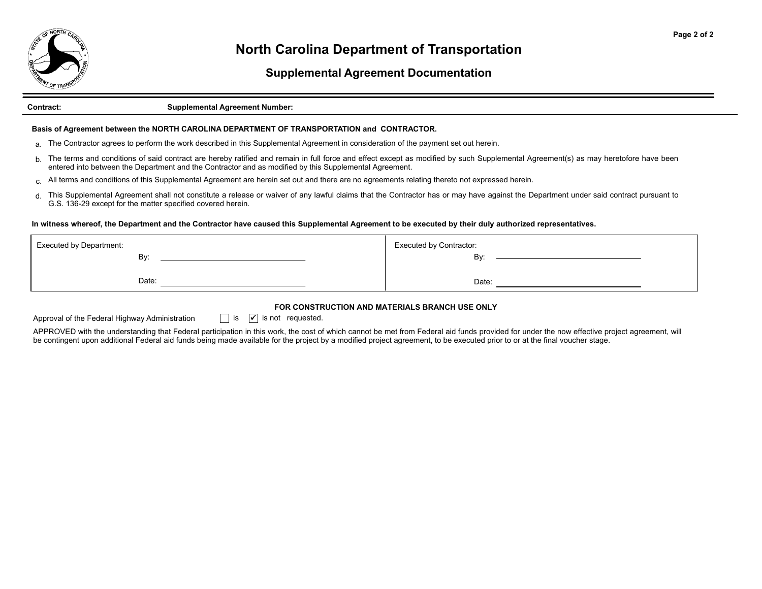

# **North Carolina Department of Transportation**

## **Supplemental Agreement Documentation**

#### **Contract: Supplemental Agreement Number:**

### **Basis of Agreement between the NORTH CAROLINA DEPARTMENT OF TRANSPORTATION and CONTRACTOR.**

- <sub>a.</sub> The Contractor agrees to perform the work described in this Supplemental Agreement in consideration of the payment set out herein.
- b. The terms and conditions of said contract are hereby ratified and remain in full force and effect except as modified by such Supplemental Agreement(s) as may heretofore have been entered into between the Department and the Contractor and as modified by this Supplemental Agreement.
- c.All terms and conditions of this Supplemental Agreement are herein set out and there are no agreements relating thereto not expressed herein.
- d.This Supplemental Agreement shall not constitute a release or waiver of any lawful claims that the Contractor has or may have against the Department under said contract pursuant to G.S. 136-29 except for the matter specified covered herein.

### **In witness whereof, the Department and the Contractor have caused this Supplemental Agreement to be executed by their duly authorized representatives.**

| <b>Executed by Department:</b> | <b>Executed by Contractor:</b> |
|--------------------------------|--------------------------------|
| Bv:                            | By:                            |
| Date:                          | Date:                          |

## **FOR CONSTRUCTION AND MATERIALS BRANCH USE ONLY**

Approval of the Federal Highway Administration  $\Box$  is  $\Box$  is not requested.

APPROVED with the understanding that Federal participation in this work, the cost of which cannot be met from Federal aid funds provided for under the now effective project agreement, will be contingent upon additional Federal aid funds being made available for the project by a modified project agreement, to be executed prior to or at the final voucher stage.